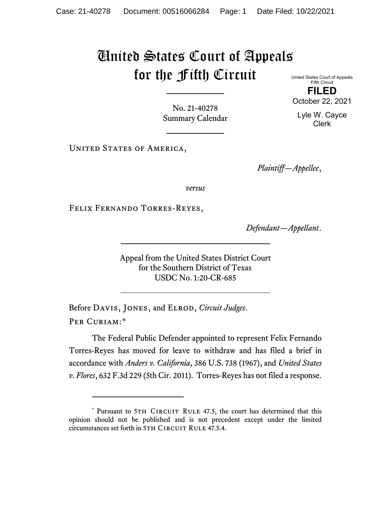## United States Court of Appeals for the Fifth Circuit

United States Court of Appeals Fifth Circuit **FILED**

No. 21-40278 Summary Calendar

UNITED STATES OF AMERICA,

*Plaintiff—Appellee*,

*versus*

Felix Fernando Torres-Reyes,

*Defendant—Appellant*.

Appeal from the United States District Court for the Southern District of Texas USDC No. 1:20-CR-685

Before Davis, Jones, and Elrod, *Circuit Judges*. Per Curiam:[\\*](#page-0-0)

The Federal Public Defender appointed to represent Felix Fernando Torres-Reyes has moved for leave to withdraw and has filed a brief in accordance with *Anders v. California*, 386 U.S. 738 (1967), and *United States v. Flores*, 632 F.3d 229 (5th Cir. 2011). Torres-Reyes has not filed a response.

October 22, 2021

Lyle W. Cayce Clerk

<span id="page-0-0"></span><sup>\*</sup> Pursuant to 5TH CIRCUIT RULE 47.5, the court has determined that this opinion should not be published and is not precedent except under the limited circumstances set forth in 5TH CIRCUIT RULE 47.5.4.